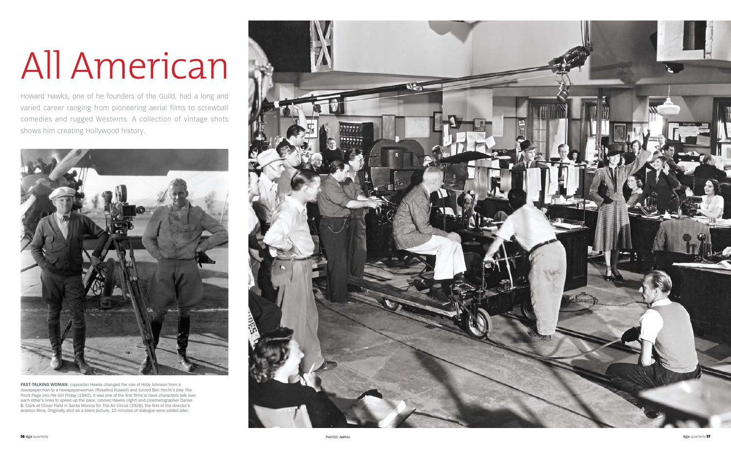Howard Hawks, one of he founders of the Guild, had a long and varied career ranging from pioneering aerial films to screwball comedies and rugged Westerns. A collection of vintage shots shows him creating Hollywood history.



## All American

FAST-TALKING WOMAN: (opposite) Hawks changed the role of Hildy Johnson from a newspaperman to a newspaperwoman (Rosalind Russell) and turned Ben Hecht's play *The Front Page* into *His Girl Friday* (1940). It was one of the first films to have characters talk over each other's lines to speed up the pace. (above) Hawks (right) and cinematographer Daniel B. Clark at Clover Field in Santa Monica for *The Air Circus* (1928), the first of the director's aviation films. Originally shot as a silent picture, 15 minutes of dialogue were added later.

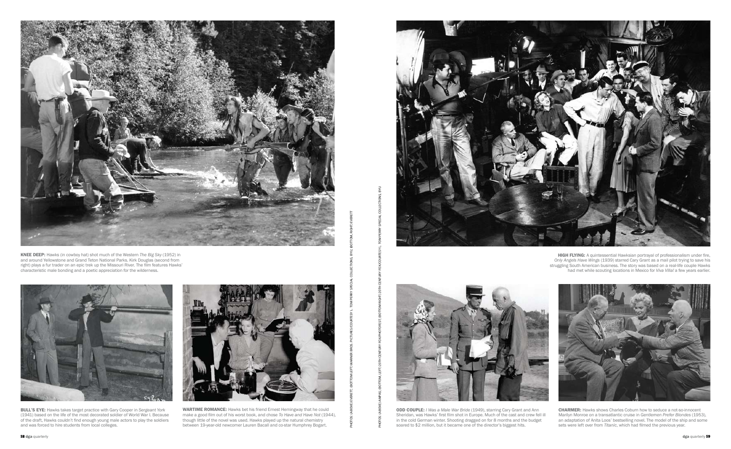



**ODD COUPLE:** *I Was a Male War Bride* (1949), starring Cary Grant and Ann Sheridan, was Hawks' first film shot in Europe. Much of the cast and crew fell ill in the cold German winter. Shooting dragged on for 8 months and the budget soared to \$2 million, but it became one of the director's biggest hits.



**CHARMER:** Hawks shows Charles Coburn how to seduce a not-so-innocent Marilyn Monroe on a transatlantic cruise in *Gentlemen Prefer Blondes* (1953), an adaptation of Anita Loos' bestselling novel. The model of the ship and some sets were left over from *Titanic*, which had filmed the previous year.



KNEE DEEP: Hawks (in cowboy hat) shot much of the Western The Big Sky (1952) in and around Yellowstone and Grand Teton National Parks. Kirk Douglas (second from right) plays a fur trader on an epic trek up the Missouri River. The film features Hawks' characteristic male bonding and a poetic appreciation for the wilderness.

HIGH FLYING: A quintessential Hawksian portrayal of professionalism under fire, *Only Angels Have Wings* (1939) starred Cary Grant as a mail pilot trying to save his struggling South American business. The story was based on a real-life couple Hawks had met while scouting locations in Mexico for *Viva Villa!* a few years earlier.



BULL'S EYE: Hawks takes target practice with Gary Cooper in Sergeant York (1941) based on the life of the most decorated soldier of World War I. Because of the draft, Hawks couldn't find enough young male actors to play the soldiers and was forced to hire students from local colleges.



WARTIME ROMANCE: Hawks bet his friend Ernest Hemingway that he could make a good film out of his worst book, and chose *To Have and Have Not* (1944), though little of the novel was used. Hawks played up the natural chemistry between 19-year-old newcomer Lauren Bacall and co-star Humphrey Bogart.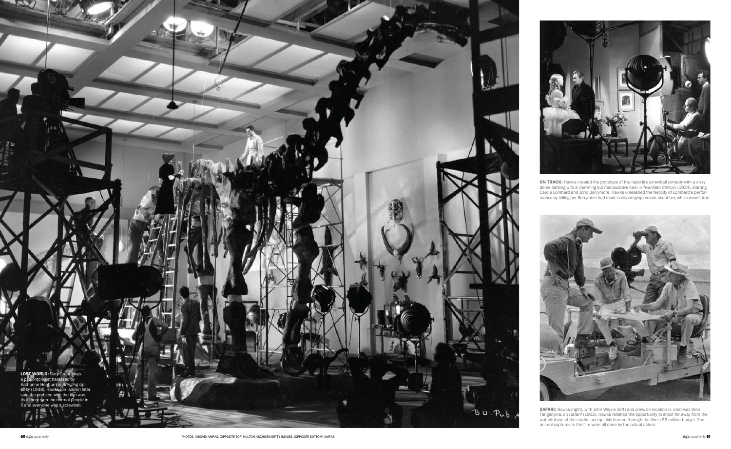SAFARI: Hawks (right), with John Wayne (left) and crew, on location in what was then Tanganyika, on *Hatari!* (1962). Hawks relished the opportunity to shoot far away from the watchful eye of the studio, and quickly burned through the film's \$6 million budget. The animal captures in the film were all done by the actual actors.

 $B$  U  $P$ u  $b$ .

ON TRACK: Hawks created the prototype of the rapid-fire screwball comedy with a dizzy dame battling with a charming but manipulative hero in *Twentieth Century* (1934), starring Carole Lombard and John Barrymore. Hawks unleashed the ferocity of Lombard's performance by telling her Barrymore had made a disparaging remark about her, which wasn't true.



LOST WORLD: Cary Grant plays a paleontologist harassed by Katharine Hepburn in *Bringing Up Baby* (1938). Hawks (on ladder) later said the problem with the film was that there were no normal people in it and everyone was a screwball.

ш